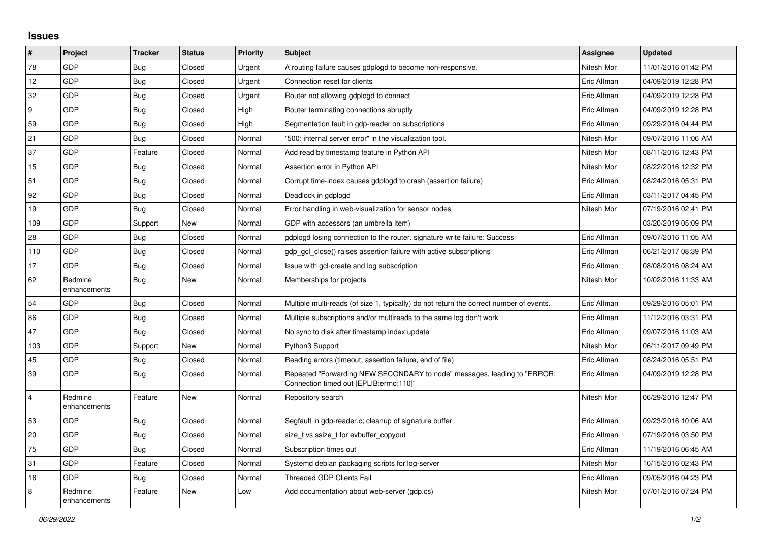## **Issues**

| $\sharp$                | Project                 | <b>Tracker</b> | <b>Status</b> | <b>Priority</b> | <b>Subject</b>                                                                                                      | Assignee    | <b>Updated</b>      |
|-------------------------|-------------------------|----------------|---------------|-----------------|---------------------------------------------------------------------------------------------------------------------|-------------|---------------------|
| 78                      | GDP                     | <b>Bug</b>     | Closed        | Urgent          | A routing failure causes gdplogd to become non-responsive.                                                          | Nitesh Mor  | 11/01/2016 01:42 PM |
| 12                      | GDP                     | <b>Bug</b>     | Closed        | Urgent          | Connection reset for clients                                                                                        | Eric Allman | 04/09/2019 12:28 PM |
| 32                      | <b>GDP</b>              | Bug            | Closed        | Urgent          | Router not allowing gdplogd to connect                                                                              | Eric Allman | 04/09/2019 12:28 PM |
| 9                       | GDP                     | Bug            | Closed        | High            | Router terminating connections abruptly                                                                             | Eric Allman | 04/09/2019 12:28 PM |
| 59                      | GDP                     | Bug            | Closed        | High            | Segmentation fault in gdp-reader on subscriptions                                                                   | Eric Allman | 09/29/2016 04:44 PM |
| 21                      | GDP                     | Bug            | Closed        | Normal          | "500: internal server error" in the visualization tool.                                                             | Nitesh Mor  | 09/07/2016 11:06 AM |
| 37                      | <b>GDP</b>              | Feature        | Closed        | Normal          | Add read by timestamp feature in Python API                                                                         | Nitesh Mor  | 08/11/2016 12:43 PM |
| 15                      | GDP                     | <b>Bug</b>     | Closed        | Normal          | Assertion error in Python API                                                                                       | Nitesh Mor  | 08/22/2016 12:32 PM |
| 51                      | GDP                     | <b>Bug</b>     | Closed        | Normal          | Corrupt time-index causes gdplogd to crash (assertion failure)                                                      | Eric Allman | 08/24/2016 05:31 PM |
| 92                      | <b>GDP</b>              | Bug            | Closed        | Normal          | Deadlock in gdplogd                                                                                                 | Eric Allman | 03/11/2017 04:45 PM |
| 19                      | GDP                     | Bug            | Closed        | Normal          | Error handling in web-visualization for sensor nodes                                                                | Nitesh Mor  | 07/19/2016 02:41 PM |
| 109                     | GDP                     | Support        | New           | Normal          | GDP with accessors (an umbrella item)                                                                               |             | 03/20/2019 05:09 PM |
| 28                      | <b>GDP</b>              | Bug            | Closed        | Normal          | gdplogd losing connection to the router, signature write failure: Success                                           | Eric Allman | 09/07/2016 11:05 AM |
| 110                     | GDP                     | <b>Bug</b>     | Closed        | Normal          | gdp gcl close() raises assertion failure with active subscriptions                                                  | Eric Allman | 06/21/2017 08:39 PM |
| 17                      | GDP                     | <b>Bug</b>     | Closed        | Normal          | Issue with gcl-create and log subscription                                                                          | Eric Allman | 08/08/2016 08:24 AM |
| 62                      | Redmine<br>enhancements | <b>Bug</b>     | New           | Normal          | Memberships for projects                                                                                            | Nitesh Mor  | 10/02/2016 11:33 AM |
| 54                      | GDP                     | <b>Bug</b>     | Closed        | Normal          | Multiple multi-reads (of size 1, typically) do not return the correct number of events.                             | Eric Allman | 09/29/2016 05:01 PM |
| 86                      | <b>GDP</b>              | Bug            | Closed        | Normal          | Multiple subscriptions and/or multireads to the same log don't work                                                 | Eric Allman | 11/12/2016 03:31 PM |
| 47                      | GDP                     | Bug            | Closed        | Normal          | No sync to disk after timestamp index update                                                                        | Eric Allman | 09/07/2016 11:03 AM |
| 103                     | GDP                     | Support        | New           | Normal          | Python3 Support                                                                                                     | Nitesh Mor  | 06/11/2017 09:49 PM |
| 45                      | <b>GDP</b>              | Bug            | Closed        | Normal          | Reading errors (timeout, assertion failure, end of file)                                                            | Eric Allman | 08/24/2016 05:51 PM |
| 39                      | GDP                     | Bug            | Closed        | Normal          | Repeated "Forwarding NEW SECONDARY to node" messages, leading to "ERROR:<br>Connection timed out [EPLIB:errno:110]" | Eric Allman | 04/09/2019 12:28 PM |
| $\overline{\mathbf{4}}$ | Redmine<br>enhancements | Feature        | <b>New</b>    | Normal          | Repository search                                                                                                   | Nitesh Mor  | 06/29/2016 12:47 PM |
| 53                      | <b>GDP</b>              | Bug            | Closed        | Normal          | Segfault in gdp-reader.c; cleanup of signature buffer                                                               | Eric Allman | 09/23/2016 10:06 AM |
| 20                      | <b>GDP</b>              | <b>Bug</b>     | Closed        | Normal          | size_t vs ssize_t for evbuffer_copyout                                                                              | Eric Allman | 07/19/2016 03:50 PM |
| 75                      | GDP                     | Bug            | Closed        | Normal          | Subscription times out                                                                                              | Eric Allman | 11/19/2016 06:45 AM |
| 31                      | GDP                     | Feature        | Closed        | Normal          | Systemd debian packaging scripts for log-server                                                                     | Nitesh Mor  | 10/15/2016 02:43 PM |
| 16                      | <b>GDP</b>              | Bug            | Closed        | Normal          | <b>Threaded GDP Clients Fail</b>                                                                                    | Eric Allman | 09/05/2016 04:23 PM |
| 8                       | Redmine<br>enhancements | Feature        | New           | Low             | Add documentation about web-server (gdp.cs)                                                                         | Nitesh Mor  | 07/01/2016 07:24 PM |